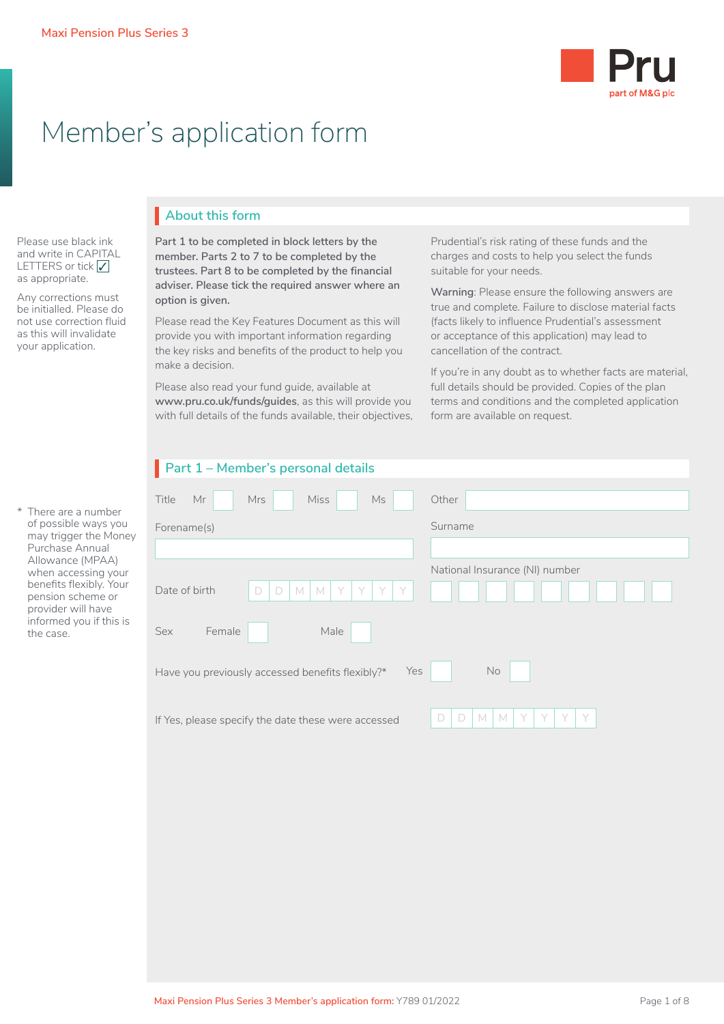

# Member's application form

Please use black ink and write in CAPITAL LETTERS or tick  $\sqrt{}$ as appropriate.

Any corrections must be initialled. Please do not use correction fluid as this will invalidate your application.

# **About this form** I

**Part 1 to be completed in block letters by the member. Parts 2 to 7 to be completed by the trustees. Part 8 to be completed by the financial adviser. Please tick the required answer where an option is given.**

Please read the Key Features Document as this will provide you with important information regarding the key risks and benefits of the product to help you make a decision.

Please also read your fund guide, available at **[www.pru.co.uk/funds/guides](http://www.pru.co.uk/funds/guides)**, as this will provide you with full details of the funds available, their objectives,

Prudential's risk rating of these funds and the charges and costs to help you select the funds suitable for your needs.

**Warning**: Please ensure the following answers are true and complete. Failure to disclose material facts (facts likely to influence Prudential's assessment or acceptance of this application) may lead to cancellation of the contract.

If you're in any doubt as to whether facts are material, full details should be provided. Copies of the plan terms and conditions and the completed application form are available on request.

| Part 1 - Member's personal details |
|------------------------------------|
|------------------------------------|

| There are a number                                                 | <b>Miss</b><br>Title<br>Mr<br><b>Mrs</b><br>Ms              | Other                                |
|--------------------------------------------------------------------|-------------------------------------------------------------|--------------------------------------|
| of possible ways you<br>may trigger the Money                      | Forename(s)                                                 | Surname                              |
| Purchase Annual                                                    |                                                             |                                      |
| Allowance (MPAA)<br>when accessing your                            |                                                             | National Insurance (NI) number       |
| benefits flexibly. Your<br>pension scheme or<br>provider will have | $\Box$<br>D<br>Date of birth<br>$M$ $M$<br>Y<br>Y<br>Y<br>Y |                                      |
| informed you if this is<br>the case.                               | Male<br>Sex<br>Female                                       |                                      |
|                                                                    | Yes<br>Have you previously accessed benefits flexibly?*     | <b>No</b>                            |
|                                                                    | If Yes, please specify the date these were accessed         | V<br>M<br>Y<br>Y<br>D<br>D<br>M<br>Y |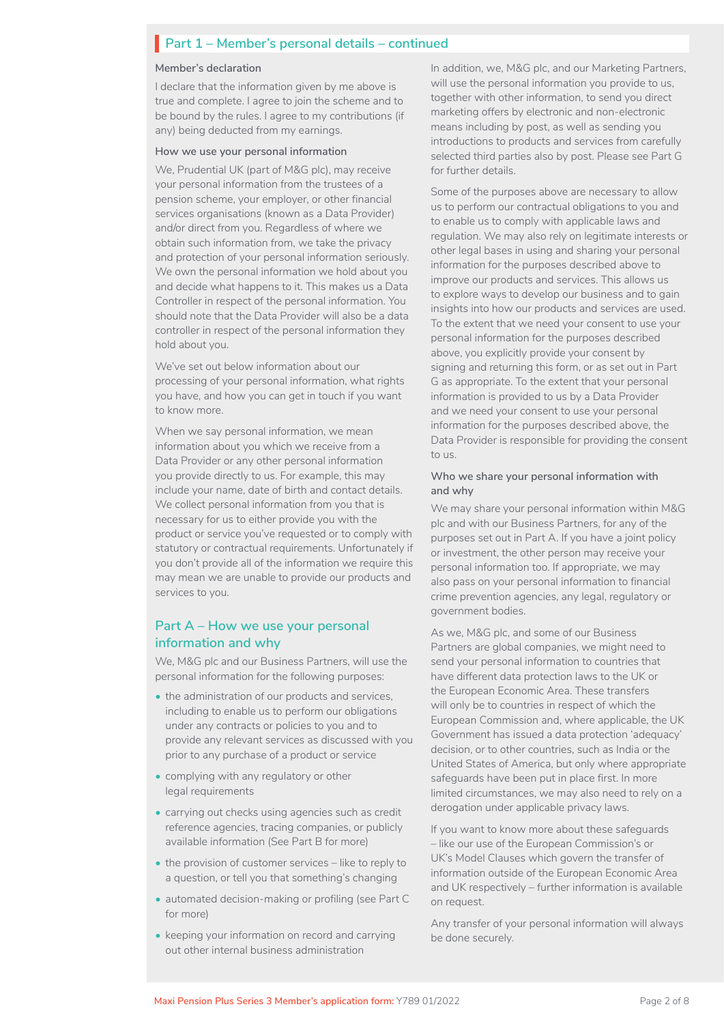# **Part 1 – Member's personal details – continued**

#### **Member's declaration**

I declare that the information given by me above is true and complete. I agree to join the scheme and to be bound by the rules. I agree to my contributions (if any) being deducted from my earnings.

#### **How we use your personal information**

We, Prudential UK (part of M&G plc), may receive your personal information from the trustees of a pension scheme, your employer, or other financial services organisations (known as a Data Provider) and/or direct from you. Regardless of where we obtain such information from, we take the privacy and protection of your personal information seriously. We own the personal information we hold about you and decide what happens to it. This makes us a Data Controller in respect of the personal information. You should note that the Data Provider will also be a data controller in respect of the personal information they hold about you.

We've set out below information about our processing of your personal information, what rights you have, and how you can get in touch if you want to know more.

When we say personal information, we mean information about you which we receive from a Data Provider or any other personal information you provide directly to us. For example, this may include your name, date of birth and contact details. We collect personal information from you that is necessary for us to either provide you with the product or service you've requested or to comply with statutory or contractual requirements. Unfortunately if you don't provide all of the information we require this may mean we are unable to provide our products and services to you.

### **Part A – How we use your personal information and why**

We, M&G plc and our Business Partners, will use the personal information for the following purposes:

- the administration of our products and services, including to enable us to perform our obligations under any contracts or policies to you and to provide any relevant services as discussed with you prior to any purchase of a product or service
- complying with any regulatory or other legal requirements
- carrying out checks using agencies such as credit reference agencies, tracing companies, or publicly available information (See Part B for more)
- the provision of customer services like to reply to a question, or tell you that something's changing
- automated decision-making or profiling (see Part C for more)
- keeping your information on record and carrying out other internal business administration

In addition, we, M&G plc, and our Marketing Partners, will use the personal information you provide to us. together with other information, to send you direct marketing offers by electronic and non-electronic means including by post, as well as sending you introductions to products and services from carefully selected third parties also by post. Please see Part G for further details.

Some of the purposes above are necessary to allow us to perform our contractual obligations to you and to enable us to comply with applicable laws and regulation. We may also rely on legitimate interests or other legal bases in using and sharing your personal information for the purposes described above to improve our products and services. This allows us to explore ways to develop our business and to gain insights into how our products and services are used. To the extent that we need your consent to use your personal information for the purposes described above, you explicitly provide your consent by signing and returning this form, or as set out in Part G as appropriate. To the extent that your personal information is provided to us by a Data Provider and we need your consent to use your personal information for the purposes described above, the Data Provider is responsible for providing the consent to us.

#### **Who we share your personal information with and why**

We may share your personal information within M&G plc and with our Business Partners, for any of the purposes set out in Part A. If you have a joint policy or investment, the other person may receive your personal information too. If appropriate, we may also pass on your personal information to financial crime prevention agencies, any legal, regulatory or government bodies.

As we, M&G plc, and some of our Business Partners are global companies, we might need to send your personal information to countries that have different data protection laws to the UK or the European Economic Area. These transfers will only be to countries in respect of which the European Commission and, where applicable, the UK Government has issued a data protection 'adequacy' decision, or to other countries, such as India or the United States of America, but only where appropriate safeguards have been put in place first. In more limited circumstances, we may also need to rely on a derogation under applicable privacy laws.

If you want to know more about these safeguards – like our use of the European Commission's or UK's Model Clauses which govern the transfer of information outside of the European Economic Area and UK respectively – further information is available on request.

Any transfer of your personal information will always be done securely.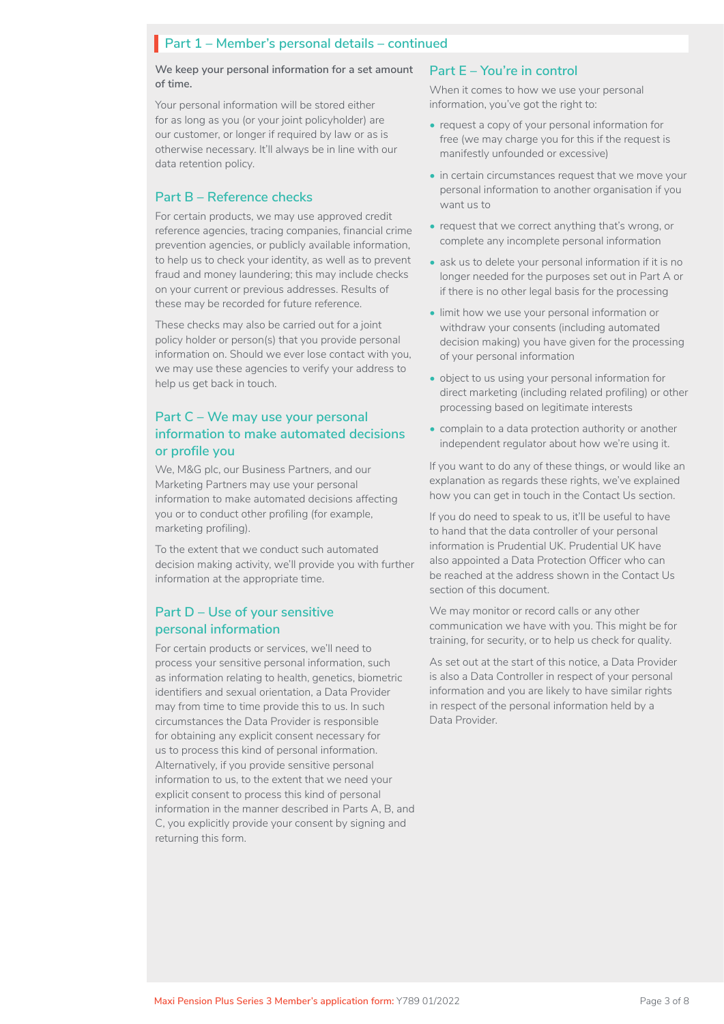# **Part 1 – Member's personal details – continued**

**We keep your personal information for a set amount of time.**

Your personal information will be stored either for as long as you (or your joint policyholder) are our customer, or longer if required by law or as is otherwise necessary. It'll always be in line with our data retention policy.

### **Part B – Reference checks**

For certain products, we may use approved credit reference agencies, tracing companies, financial crime prevention agencies, or publicly available information, to help us to check your identity, as well as to prevent fraud and money laundering; this may include checks on your current or previous addresses. Results of these may be recorded for future reference.

These checks may also be carried out for a joint policy holder or person(s) that you provide personal information on. Should we ever lose contact with you, we may use these agencies to verify your address to help us get back in touch.

### **Part C – We may use your personal information to make automated decisions or profile you**

We, M&G plc, our Business Partners, and our Marketing Partners may use your personal information to make automated decisions affecting you or to conduct other profiling (for example, marketing profiling).

To the extent that we conduct such automated decision making activity, we'll provide you with further information at the appropriate time.

### **Part D – Use of your sensitive personal information**

For certain products or services, we'll need to process your sensitive personal information, such as information relating to health, genetics, biometric identifiers and sexual orientation, a Data Provider may from time to time provide this to us. In such circumstances the Data Provider is responsible for obtaining any explicit consent necessary for us to process this kind of personal information. Alternatively, if you provide sensitive personal information to us, to the extent that we need your explicit consent to process this kind of personal information in the manner described in Parts A, B, and C, you explicitly provide your consent by signing and returning this form.

#### **Part E – You're in control**

When it comes to how we use your personal information, you've got the right to:

- request a copy of your personal information for free (we may charge you for this if the request is manifestly unfounded or excessive)
- in certain circumstances request that we move your personal information to another organisation if you want us to
- request that we correct anything that's wrong, or complete any incomplete personal information
- ask us to delete your personal information if it is no longer needed for the purposes set out in Part A or if there is no other legal basis for the processing
- limit how we use your personal information or withdraw your consents (including automated decision making) you have given for the processing of your personal information
- object to us using your personal information for direct marketing (including related profiling) or other processing based on legitimate interests
- complain to a data protection authority or another independent regulator about how we're using it.

If you want to do any of these things, or would like an explanation as regards these rights, we've explained how you can get in touch in the Contact Us section.

If you do need to speak to us, it'll be useful to have to hand that the data controller of your personal information is Prudential UK. Prudential UK have also appointed a Data Protection Officer who can be reached at the address shown in the Contact Us section of this document.

We may monitor or record calls or any other communication we have with you. This might be for training, for security, or to help us check for quality.

As set out at the start of this notice, a Data Provider is also a Data Controller in respect of your personal information and you are likely to have similar rights in respect of the personal information held by a Data Provider.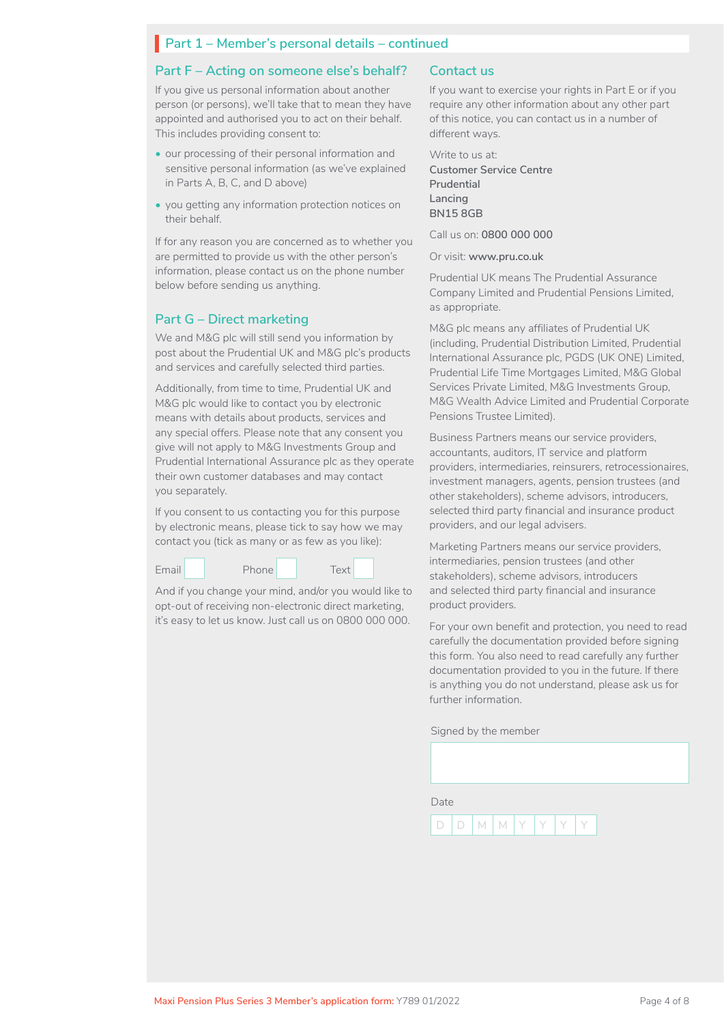# **Part 1 – Member's personal details – continued**

#### **Part F – Acting on someone else's behalf?**

If you give us personal information about another person (or persons), we'll take that to mean they have appointed and authorised you to act on their behalf. This includes providing consent to:

- our processing of their personal information and sensitive personal information (as we've explained in Parts A, B, C, and D above)
- you getting any information protection notices on their behalf.

If for any reason you are concerned as to whether you are permitted to provide us with the other person's information, please contact us on the phone number below before sending us anything.

### **Part G – Direct marketing**

We and M&G plc will still send you information by post about the Prudential UK and M&G plc's products and services and carefully selected third parties.

Additionally, from time to time, Prudential UK and M&G plc would like to contact you by electronic means with details about products, services and any special offers. Please note that any consent you give will not apply to M&G Investments Group and Prudential International Assurance plc as they operate their own customer databases and may contact you separately.

If you consent to us contacting you for this purpose by electronic means, please tick to say how we may contact you (tick as many or as few as you like):



And if you change your mind, and/or you would like to opt-out of receiving non-electronic direct marketing, it's easy to let us know. Just call us on 0800 000 000.

### **Contact us**

If you want to exercise your rights in Part E or if you require any other information about any other part of this notice, you can contact us in a number of different ways.

Write to us at: **Customer Service Centre Prudential Lancing BN15 8GB**

Call us on: **0800 000 000**

Or visit: **www.pru.co.uk**

Prudential UK means The Prudential Assurance Company Limited and Prudential Pensions Limited, as appropriate.

M&G plc means any affiliates of Prudential UK (including, Prudential Distribution Limited, Prudential International Assurance plc, PGDS (UK ONE) Limited, Prudential Life Time Mortgages Limited, M&G Global Services Private Limited, M&G Investments Group, M&G Wealth Advice Limited and Prudential Corporate Pensions Trustee Limited).

Business Partners means our service providers, accountants, auditors, IT service and platform providers, intermediaries, reinsurers, retrocessionaires, investment managers, agents, pension trustees (and other stakeholders), scheme advisors, introducers, selected third party financial and insurance product providers, and our legal advisers.

Marketing Partners means our service providers, intermediaries, pension trustees (and other stakeholders), scheme advisors, introducers and selected third party financial and insurance product providers.

For your own benefit and protection, you need to read carefully the documentation provided before signing this form. You also need to read carefully any further documentation provided to you in the future. If there is anything you do not understand, please ask us for further information.

#### Signed by the member

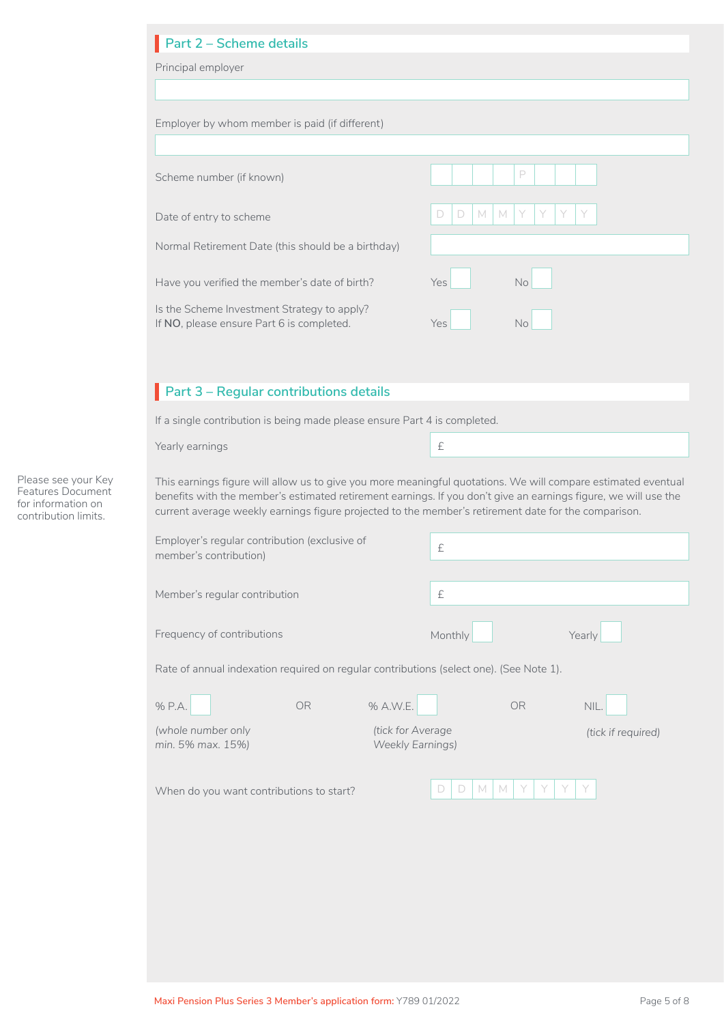| Employer by whom member is paid (if different)                                                                                                                                                                                                                                                                                                                                                                      |           |                                              |             |           |                    |
|---------------------------------------------------------------------------------------------------------------------------------------------------------------------------------------------------------------------------------------------------------------------------------------------------------------------------------------------------------------------------------------------------------------------|-----------|----------------------------------------------|-------------|-----------|--------------------|
| Scheme number (if known)                                                                                                                                                                                                                                                                                                                                                                                            |           |                                              |             | P         |                    |
| Date of entry to scheme                                                                                                                                                                                                                                                                                                                                                                                             |           |                                              | M<br>D<br>D | M<br>Y    |                    |
| Normal Retirement Date (this should be a birthday)                                                                                                                                                                                                                                                                                                                                                                  |           |                                              |             |           |                    |
| Have you verified the member's date of birth?                                                                                                                                                                                                                                                                                                                                                                       |           |                                              | Yes         | No        |                    |
| Is the Scheme Investment Strategy to apply?<br>If NO, please ensure Part 6 is completed.                                                                                                                                                                                                                                                                                                                            |           |                                              | Yes         | <b>No</b> |                    |
|                                                                                                                                                                                                                                                                                                                                                                                                                     |           |                                              |             |           |                    |
| Part 3 - Regular contributions details                                                                                                                                                                                                                                                                                                                                                                              |           |                                              |             |           |                    |
| If a single contribution is being made please ensure Part 4 is completed.                                                                                                                                                                                                                                                                                                                                           |           |                                              |             |           |                    |
| Yearly earnings                                                                                                                                                                                                                                                                                                                                                                                                     |           |                                              | $\pounds$   |           |                    |
| This earnings figure will allow us to give you more meaningful quotations. We will compare estimated eventual<br>benefits with the member's estimated retirement earnings. If you don't give an earnings figure, we will use the<br>current average weekly earnings figure projected to the member's retirement date for the comparison.<br>Employer's regular contribution (exclusive of<br>member's contribution) |           |                                              | £           |           |                    |
|                                                                                                                                                                                                                                                                                                                                                                                                                     |           |                                              |             |           |                    |
| Member's regular contribution                                                                                                                                                                                                                                                                                                                                                                                       |           |                                              | $\pounds$   |           |                    |
| Frequency of contributions                                                                                                                                                                                                                                                                                                                                                                                          |           |                                              | Monthly     |           | Yearly             |
| Rate of annual indexation required on regular contributions (select one). (See Note 1).                                                                                                                                                                                                                                                                                                                             |           |                                              |             |           |                    |
| % P.A.                                                                                                                                                                                                                                                                                                                                                                                                              | <b>OR</b> | % A.W.E.                                     |             | OR        | NIL.               |
| (whole number only<br>min. 5% max. 15%)                                                                                                                                                                                                                                                                                                                                                                             |           | (tick for Average<br><b>Weekly Earnings)</b> |             |           | (tick if required) |
| When do you want contributions to start?                                                                                                                                                                                                                                                                                                                                                                            |           |                                              | M<br>D<br>D | M<br>Y    |                    |
|                                                                                                                                                                                                                                                                                                                                                                                                                     |           |                                              |             |           |                    |
|                                                                                                                                                                                                                                                                                                                                                                                                                     |           |                                              |             |           |                    |
|                                                                                                                                                                                                                                                                                                                                                                                                                     |           |                                              |             |           |                    |

Please see your Key Features Document for information on contribution limits.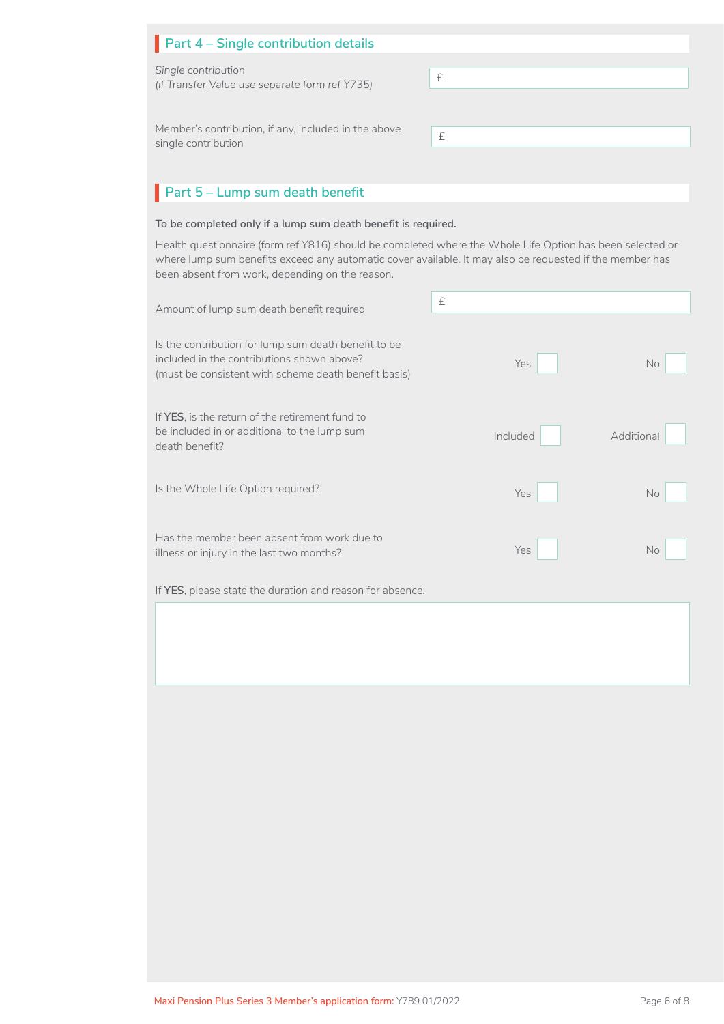| Part 4 - Single contribution details                                        |   |
|-----------------------------------------------------------------------------|---|
| Single contribution<br>(if Transfer Value use separate form ref Y735)       | £ |
|                                                                             |   |
| Member's contribution, if any, included in the above<br>single contribution | £ |
|                                                                             |   |

# **Part 5 – Lump sum death benefit**

### **To be completed only if a lump sum death benefit is required.**

Health questionnaire (form ref Y816) should be completed where the Whole Life Option has been selected or where lump sum benefits exceed any automatic cover available. It may also be requested if the member has been absent from work, depending on the reason.

| Amount of lump sum death benefit required                                                                                                                  | £        |            |
|------------------------------------------------------------------------------------------------------------------------------------------------------------|----------|------------|
| Is the contribution for lump sum death benefit to be<br>included in the contributions shown above?<br>(must be consistent with scheme death benefit basis) | Yes      | <b>No</b>  |
| If YES, is the return of the retirement fund to<br>be included in or additional to the lump sum<br>death benefit?                                          | Included | Additional |
| Is the Whole Life Option required?                                                                                                                         | Yes      | <b>No</b>  |
| Has the member been absent from work due to<br>illness or injury in the last two months?                                                                   | Yes      | <b>No</b>  |
| If YES, please state the duration and reason for absence.                                                                                                  |          |            |
|                                                                                                                                                            |          |            |
|                                                                                                                                                            |          |            |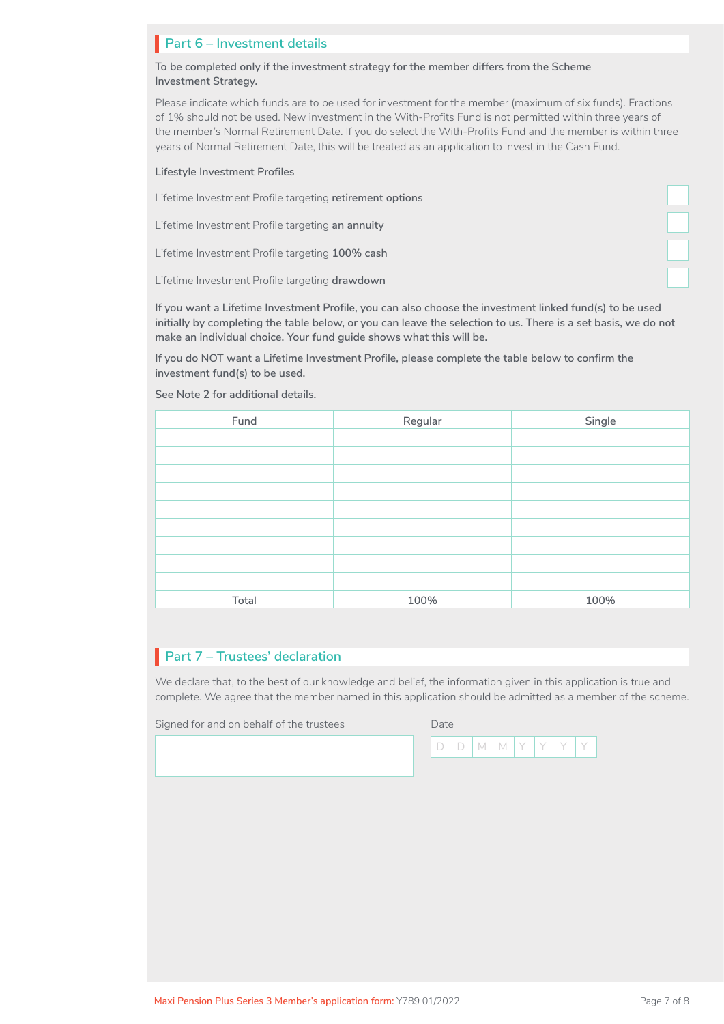# **Part 6 – Investment details**

**To be completed only if the investment strategy for the member differs from the Scheme Investment Strategy.** 

Please indicate which funds are to be used for investment for the member (maximum of six funds). Fractions of 1% should not be used. New investment in the With-Profits Fund is not permitted within three years of the member's Normal Retirement Date. If you do select the With-Profits Fund and the member is within three years of Normal Retirement Date, this will be treated as an application to invest in the Cash Fund.

#### **Lifestyle Investment Profiles**

Lifetime Investment Profile targeting **retirement options**

Lifetime Investment Profile targeting **an annuity**

Lifetime Investment Profile targeting **100% cash**

Lifetime Investment Profile targeting **drawdown**

**If you want a Lifetime Investment Profile, you can also choose the investment linked fund(s) to be used initially by completing the table below, or you can leave the selection to us. There is a set basis, we do not make an individual choice. Your fund guide shows what this will be.** 

**If you do NOT want a Lifetime Investment Profile, please complete the table below to confirm the investment fund(s) to be used.**

**See Note 2 for additional details.**

| Fund  | Regular | Single |
|-------|---------|--------|
|       |         |        |
|       |         |        |
|       |         |        |
|       |         |        |
|       |         |        |
|       |         |        |
|       |         |        |
|       |         |        |
|       |         |        |
| Total | 100%    | 100%   |

# **Part 7 – Trustees' declaration**

We declare that, to the best of our knowledge and belief, the information given in this application is true and complete. We agree that the member named in this application should be admitted as a member of the scheme.

Signed for and on behalf of the trustees

| Date   |                 |  |  |  |
|--------|-----------------|--|--|--|
| $\Box$ | $D$ $M$ $M$ $Y$ |  |  |  |

 $\Box$ 

L

L

 $\Box$